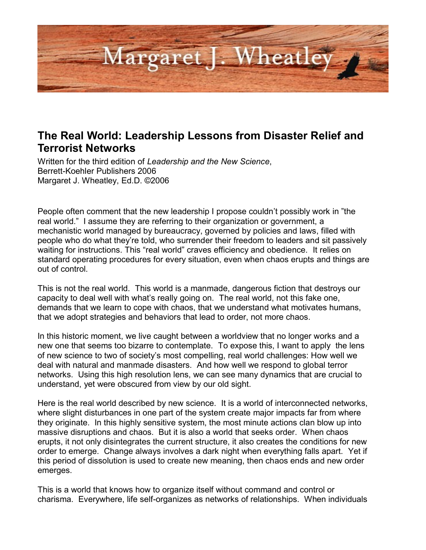

## **The Real World: Leadership Lessons from Disaster Relief and Terrorist Networks**

Written for the third edition of *Leadership and the New Science*, Berrett-Koehler Publishers 2006 Margaret J. Wheatley, Ed.D. ©2006

People often comment that the new leadership I propose couldn't possibly work in "the real world." I assume they are referring to their organization or government, a mechanistic world managed by bureaucracy, governed by policies and laws, filled with people who do what they're told, who surrender their freedom to leaders and sit passively waiting for instructions. This "real world" craves efficiency and obedience. It relies on standard operating procedures for every situation, even when chaos erupts and things are out of control.

This is not the real world. This world is a manmade, dangerous fiction that destroys our capacity to deal well with what's really going on. The real world, not this fake one, demands that we learn to cope with chaos, that we understand what motivates humans, that we adopt strategies and behaviors that lead to order, not more chaos.

In this historic moment, we live caught between a worldview that no longer works and a new one that seems too bizarre to contemplate. To expose this, I want to apply the lens of new science to two of society's most compelling, real world challenges: How well we deal with natural and manmade disasters. And how well we respond to global terror networks. Using this high resolution lens, we can see many dynamics that are crucial to understand, yet were obscured from view by our old sight.

Here is the real world described by new science. It is a world of interconnected networks, where slight disturbances in one part of the system create major impacts far from where they originate. In this highly sensitive system, the most minute actions clan blow up into massive disruptions and chaos. But it is also a world that seeks order. When chaos erupts, it not only disintegrates the current structure, it also creates the conditions for new order to emerge. Change always involves a dark night when everything falls apart. Yet if this period of dissolution is used to create new meaning, then chaos ends and new order emerges.

This is a world that knows how to organize itself without command and control or charisma. Everywhere, life self-organizes as networks of relationships. When individuals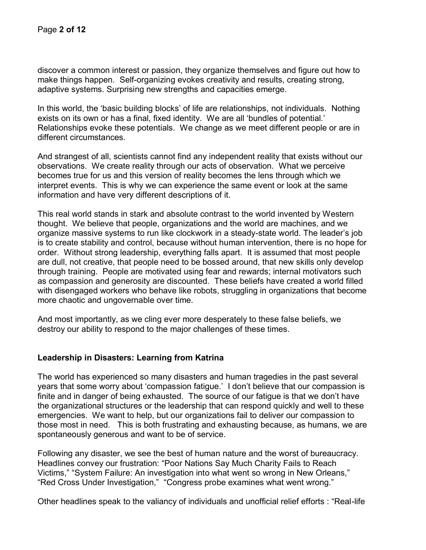discover a common interest or passion, they organize themselves and figure out how to make things happen. Self-organizing evokes creativity and results, creating strong, adaptive systems. Surprising new strengths and capacities emerge.

In this world, the 'basic building blocks' of life are relationships, not individuals. Nothing exists on its own or has a final, fixed identity. We are all 'bundles of potential.' Relationships evoke these potentials. We change as we meet different people or are in different circumstances.

And strangest of all, scientists cannot find any independent reality that exists without our observations. We create reality through our acts of observation. What we perceive becomes true for us and this version of reality becomes the lens through which we interpret events. This is why we can experience the same event or look at the same information and have very different descriptions of it.

This real world stands in stark and absolute contrast to the world invented by Western thought. We believe that people, organizations and the world are machines, and we organize massive systems to run like clockwork in a steady-state world. The leader's job is to create stability and control, because without human intervention, there is no hope for order. Without strong leadership, everything falls apart. It is assumed that most people are dull, not creative, that people need to be bossed around, that new skills only develop through training. People are motivated using fear and rewards; internal motivators such as compassion and generosity are discounted. These beliefs have created a world filled with disengaged workers who behave like robots, struggling in organizations that become more chaotic and ungovernable over time.

And most importantly, as we cling ever more desperately to these false beliefs, we destroy our ability to respond to the major challenges of these times.

## **Leadership in Disasters: Learning from Katrina**

The world has experienced so many disasters and human tragedies in the past several years that some worry about 'compassion fatigue.' I don't believe that our compassion is finite and in danger of being exhausted. The source of our fatigue is that we don't have the organizational structures or the leadership that can respond quickly and well to these emergencies. We want to help, but our organizations fail to deliver our compassion to those most in need. This is both frustrating and exhausting because, as humans, we are spontaneously generous and want to be of service.

Following any disaster, we see the best of human nature and the worst of bureaucracy. Headlines convey our frustration: "Poor Nations Say Much Charity Fails to Reach Victims," "System Failure: An investigation into what went so wrong in New Orleans," "Red Cross Under Investigation," "Congress probe examines what went wrong."

Other headlines speak to the valiancy of individuals and unofficial relief efforts : "Real-life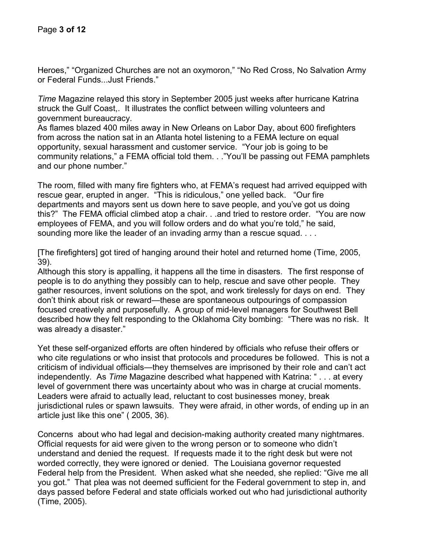Heroes," "Organized Churches are not an oxymoron," "No Red Cross, No Salvation Army or Federal Funds...Just Friends."

*Time* Magazine relayed this story in September 2005 just weeks after hurricane Katrina struck the Gulf Coast,. It illustrates the conflict between willing volunteers and government bureaucracy.

As flames blazed 400 miles away in New Orleans on Labor Day, about 600 firefighters from across the nation sat in an Atlanta hotel listening to a FEMA lecture on equal opportunity, sexual harassment and customer service. "Your job is going to be community relations," a FEMA official told them. . ."You'll be passing out FEMA pamphlets and our phone number."

The room, filled with many fire fighters who, at FEMA's request had arrived equipped with rescue gear, erupted in anger. "This is ridiculous," one yelled back. "Our fire departments and mayors sent us down here to save people, and you've got us doing this?" The FEMA official climbed atop a chair. . .and tried to restore order. "You are now employees of FEMA, and you will follow orders and do what you're told," he said, sounding more like the leader of an invading army than a rescue squad. . . .

[The firefighters] got tired of hanging around their hotel and returned home (Time, 2005, 39).

Although this story is appalling, it happens all the time in disasters. The first response of people is to do anything they possibly can to help, rescue and save other people. They gather resources, invent solutions on the spot, and work tirelessly for days on end. They don't think about risk or reward—these are spontaneous outpourings of compassion focused creatively and purposefully. A group of mid-level managers for Southwest Bell described how they felt responding to the Oklahoma City bombing: "There was no risk. It was already a disaster."

Yet these self-organized efforts are often hindered by officials who refuse their offers or who cite regulations or who insist that protocols and procedures be followed. This is not a criticism of individual officials—they themselves are imprisoned by their role and can't act independently. As *Time* Magazine described what happened with Katrina: " . . . at every level of government there was uncertainty about who was in charge at crucial moments. Leaders were afraid to actually lead, reluctant to cost businesses money, break jurisdictional rules or spawn lawsuits. They were afraid, in other words, of ending up in an article just like this one" ( 2005, 36).

Concerns about who had legal and decision-making authority created many nightmares. Official requests for aid were given to the wrong person or to someone who didn't understand and denied the request. If requests made it to the right desk but were not worded correctly, they were ignored or denied. The Louisiana governor requested Federal help from the President. When asked what she needed, she replied: "Give me all you got." That plea was not deemed sufficient for the Federal government to step in, and days passed before Federal and state officials worked out who had jurisdictional authority (Time, 2005).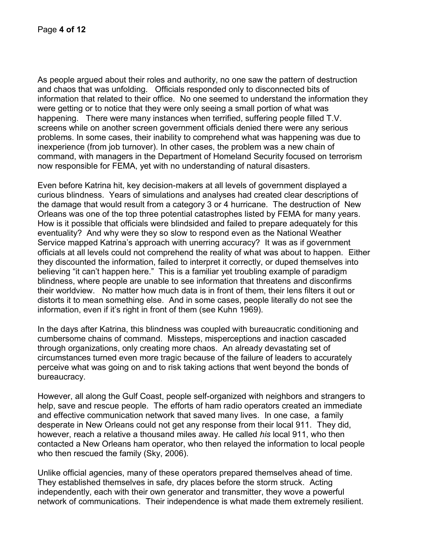As people argued about their roles and authority, no one saw the pattern of destruction and chaos that was unfolding. Officials responded only to disconnected bits of information that related to their office. No one seemed to understand the information they were getting or to notice that they were only seeing a small portion of what was happening. There were many instances when terrified, suffering people filled T.V. screens while on another screen government officials denied there were any serious problems. In some cases, their inability to comprehend what was happening was due to inexperience (from job turnover). In other cases, the problem was a new chain of command, with managers in the Department of Homeland Security focused on terrorism now responsible for FEMA, yet with no understanding of natural disasters.

Even before Katrina hit, key decision-makers at all levels of government displayed a curious blindness. Years of simulations and analyses had created clear descriptions of the damage that would result from a category 3 or 4 hurricane. The destruction of New Orleans was one of the top three potential catastrophes listed by FEMA for many years. How is it possible that officials were blindsided and failed to prepare adequately for this eventuality? And why were they so slow to respond even as the National Weather Service mapped Katrina's approach with unerring accuracy? It was as if government officials at all levels could not comprehend the reality of what was about to happen. Either they discounted the information, failed to interpret it correctly, or duped themselves into believing "it can't happen here." This is a familiar yet troubling example of paradigm blindness, where people are unable to see information that threatens and disconfirms their worldview. No matter how much data is in front of them, their lens filters it out or distorts it to mean something else. And in some cases, people literally do not see the information, even if it's right in front of them (see Kuhn 1969).

In the days after Katrina, this blindness was coupled with bureaucratic conditioning and cumbersome chains of command. Missteps, misperceptions and inaction cascaded through organizations, only creating more chaos. An already devastating set of circumstances turned even more tragic because of the failure of leaders to accurately perceive what was going on and to risk taking actions that went beyond the bonds of bureaucracy.

However, all along the Gulf Coast, people self-organized with neighbors and strangers to help, save and rescue people. The efforts of ham radio operators created an immediate and effective communication network that saved many lives. In one case, a family desperate in New Orleans could not get any response from their local 911. They did, however, reach a relative a thousand miles away. He called *his* local 911, who then contacted a New Orleans ham operator, who then relayed the information to local people who then rescued the family (Sky, 2006).

Unlike official agencies, many of these operators prepared themselves ahead of time. They established themselves in safe, dry places before the storm struck. Acting independently, each with their own generator and transmitter, they wove a powerful network of communications. Their independence is what made them extremely resilient.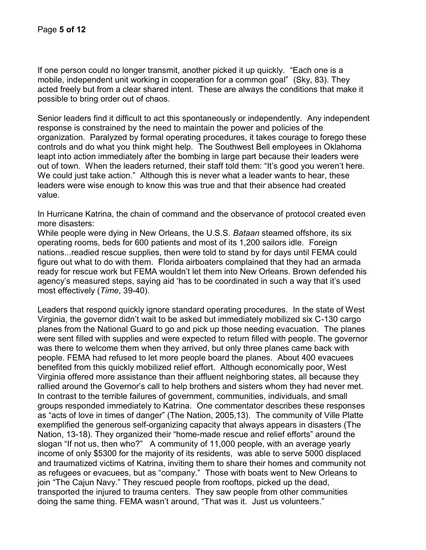If one person could no longer transmit, another picked it up quickly. "Each one is a mobile, independent unit working in cooperation for a common goal" (Sky, 83). They acted freely but from a clear shared intent. These are always the conditions that make it possible to bring order out of chaos.

Senior leaders find it difficult to act this spontaneously or independently. Any independent response is constrained by the need to maintain the power and policies of the organization. Paralyzed by formal operating procedures, it takes courage to forego these controls and do what you think might help. The Southwest Bell employees in Oklahoma leapt into action immediately after the bombing in large part because their leaders were out of town. When the leaders returned, their staff told them: "It's good you weren't here. We could just take action." Although this is never what a leader wants to hear, these leaders were wise enough to know this was true and that their absence had created value.

In Hurricane Katrina, the chain of command and the observance of protocol created even more disasters:

While people were dying in New Orleans, the U.S.S. *Bataan* steamed offshore, its six operating rooms, beds for 600 patients and most of its 1,200 sailors idle. Foreign nations...readied rescue supplies, then were told to stand by for days until FEMA could figure out what to do with them. Florida airboaters complained that they had an armada ready for rescue work but FEMA wouldn't let them into New Orleans. Brown defended his agency's measured steps, saying aid 'has to be coordinated in such a way that it's used most effectively (*Time*, 39-40).

Leaders that respond quickly ignore standard operating procedures. In the state of West Virginia, the governor didn't wait to be asked but immediately mobilized six C-130 cargo planes from the National Guard to go and pick up those needing evacuation. The planes were sent filled with supplies and were expected to return filled with people. The governor was there to welcome them when they arrived, but only three planes came back with people. FEMA had refused to let more people board the planes. About 400 evacuees benefited from this quickly mobilized relief effort. Although economically poor, West Virginia offered more assistance than their affluent neighboring states, all because they rallied around the Governor's call to help brothers and sisters whom they had never met. In contrast to the terrible failures of government, communities, individuals, and small groups responded immediately to Katrina. One commentator describes these responses as "acts of love in times of danger" (The Nation, 2005,13). The community of Ville Platte exemplified the generous self-organizing capacity that always appears in disasters (The Nation, 13-18). They organized their "home-made rescue and relief efforts" around the slogan "If not us, then who?" A community of 11,000 people, with an average yearly income of only \$5300 for the majority of its residents, was able to serve 5000 displaced and traumatized victims of Katrina, inviting them to share their homes and community not as refugees or evacuees, but as "company." Those with boats went to New Orleans to join "The Cajun Navy." They rescued people from rooftops, picked up the dead, transported the injured to trauma centers. They saw people from other communities doing the same thing. FEMA wasn't around, "That was it. Just us volunteers."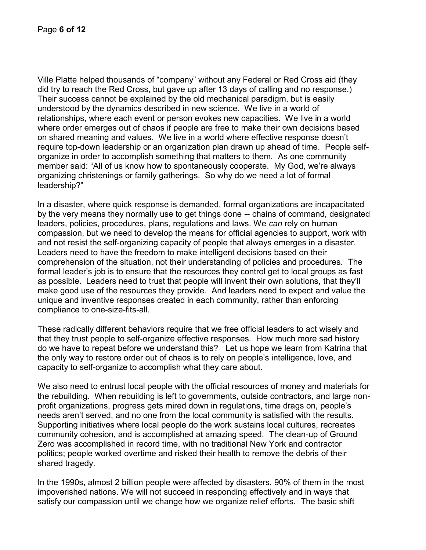Ville Platte helped thousands of "company" without any Federal or Red Cross aid (they did try to reach the Red Cross, but gave up after 13 days of calling and no response.) Their success cannot be explained by the old mechanical paradigm, but is easily understood by the dynamics described in new science. We live in a world of relationships, where each event or person evokes new capacities. We live in a world where order emerges out of chaos if people are free to make their own decisions based on shared meaning and values. We live in a world where effective response doesn't require top-down leadership or an organization plan drawn up ahead of time. People selforganize in order to accomplish something that matters to them. As one community member said: "All of us know how to spontaneously cooperate. My God, we're always organizing christenings or family gatherings. So why do we need a lot of formal leadership?"

In a disaster, where quick response is demanded, formal organizations are incapacitated by the very means they normally use to get things done -- chains of command, designated leaders, policies, procedures, plans, regulations and laws. We *can* rely on human compassion, but we need to develop the means for official agencies to support, work with and not resist the self-organizing capacity of people that always emerges in a disaster. Leaders need to have the freedom to make intelligent decisions based on their comprehension of the situation, not their understanding of policies and procedures. The formal leader's job is to ensure that the resources they control get to local groups as fast as possible. Leaders need to trust that people will invent their own solutions, that they'll make good use of the resources they provide. And leaders need to expect and value the unique and inventive responses created in each community, rather than enforcing compliance to one-size-fits-all.

These radically different behaviors require that we free official leaders to act wisely and that they trust people to self-organize effective responses. How much more sad history do we have to repeat before we understand this? Let us hope we learn from Katrina that the only way to restore order out of chaos is to rely on people's intelligence, love, and capacity to self-organize to accomplish what they care about.

We also need to entrust local people with the official resources of money and materials for the rebuilding. When rebuilding is left to governments, outside contractors, and large nonprofit organizations, progress gets mired down in regulations, time drags on, people's needs aren't served, and no one from the local community is satisfied with the results. Supporting initiatives where local people do the work sustains local cultures, recreates community cohesion, and is accomplished at amazing speed. The clean-up of Ground Zero was accomplished in record time, with no traditional New York and contractor politics; people worked overtime and risked their health to remove the debris of their shared tragedy.

In the 1990s, almost 2 billion people were affected by disasters, 90% of them in the most impoverished nations. We will not succeed in responding effectively and in ways that satisfy our compassion until we change how we organize relief efforts. The basic shift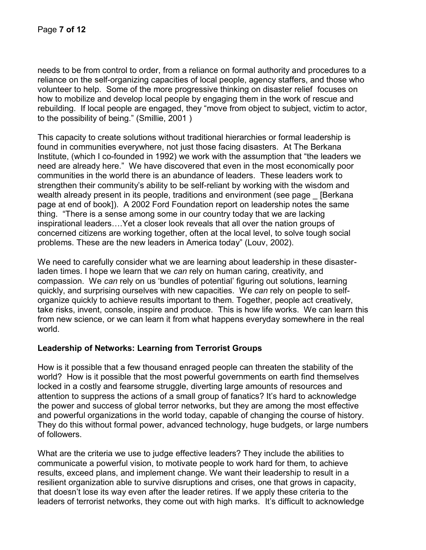needs to be from control to order, from a reliance on formal authority and procedures to a reliance on the self-organizing capacities of local people, agency staffers, and those who volunteer to help. Some of the more progressive thinking on disaster relief focuses on how to mobilize and develop local people by engaging them in the work of rescue and rebuilding. If local people are engaged, they "move from object to subject, victim to actor, to the possibility of being." (Smillie, 2001 )

This capacity to create solutions without traditional hierarchies or formal leadership is found in communities everywhere, not just those facing disasters. At The Berkana Institute, (which I co-founded in 1992) we work with the assumption that "the leaders we need are already here." We have discovered that even in the most economically poor communities in the world there is an abundance of leaders. These leaders work to strengthen their community's ability to be self-reliant by working with the wisdom and wealth already present in its people, traditions and environment (see page [Berkana] page at end of book]). A 2002 Ford Foundation report on leadership notes the same thing. "There is a sense among some in our country today that we are lacking inspirational leaders….Yet a closer look reveals that all over the nation groups of concerned citizens are working together, often at the local level, to solve tough social problems. These are the new leaders in America today" (Louv, 2002).

We need to carefully consider what we are learning about leadership in these disasterladen times. I hope we learn that we *can* rely on human caring, creativity, and compassion. We *can* rely on us 'bundles of potential' figuring out solutions, learning quickly, and surprising ourselves with new capacities. We *can* rely on people to selforganize quickly to achieve results important to them. Together, people act creatively, take risks, invent, console, inspire and produce. This is how life works. We can learn this from new science, or we can learn it from what happens everyday somewhere in the real world.

## **Leadership of Networks: Learning from Terrorist Groups**

How is it possible that a few thousand enraged people can threaten the stability of the world? How is it possible that the most powerful governments on earth find themselves locked in a costly and fearsome struggle, diverting large amounts of resources and attention to suppress the actions of a small group of fanatics? It's hard to acknowledge the power and success of global terror networks, but they are among the most effective and powerful organizations in the world today, capable of changing the course of history. They do this without formal power, advanced technology, huge budgets, or large numbers of followers.

What are the criteria we use to judge effective leaders? They include the abilities to communicate a powerful vision, to motivate people to work hard for them, to achieve results, exceed plans, and implement change. We want their leadership to result in a resilient organization able to survive disruptions and crises, one that grows in capacity, that doesn't lose its way even after the leader retires. If we apply these criteria to the leaders of terrorist networks, they come out with high marks. It's difficult to acknowledge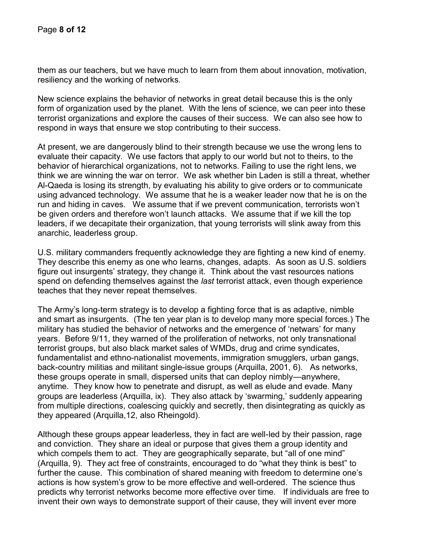them as our teachers, but we have much to learn from them about innovation, motivation, resiliency and the working of networks.

New science explains the behavior of networks in great detail because this is the only form of organization used by the planet. With the lens of science, we can peer into these terrorist organizations and explore the causes of their success. We can also see how to respond in ways that ensure we stop contributing to their success.

At present, we are dangerously blind to their strength because we use the wrong lens to evaluate their capacity. We use factors that apply to our world but not to theirs, to the behavior of hierarchical organizations, not to networks. Failing to use the right lens, we think we are winning the war on terror. We ask whether bin Laden is still a threat, whether Al-Qaeda is losing its strength, by evaluating his ability to give orders or to communicate using advanced technology. We assume that he is a weaker leader now that he is on the run and hiding in caves. We assume that if we prevent communication, terrorists won't be given orders and therefore won't launch attacks. We assume that if we kill the top leaders, if we decapitate their organization, that young terrorists will slink away from this anarchic, leaderless group.

U.S. military commanders frequently acknowledge they are fighting a new kind of enemy. They describe this enemy as one who learns, changes, adapts. As soon as U.S. soldiers figure out insurgents' strategy, they change it. Think about the vast resources nations spend on defending themselves against the *last* terrorist attack, even though experience teaches that they never repeat themselves.

The Army's long-term strategy is to develop a fighting force that is as adaptive, nimble and smart as insurgents. (The ten year plan is to develop many more special forces.) The military has studied the behavior of networks and the emergence of 'netwars' for many years. Before 9/11, they warned of the proliferation of networks, not only transnational terrorist groups, but also black market sales of WMDs, drug and crime syndicates, fundamentalist and ethno-nationalist movements, immigration smugglers, urban gangs, back-country militias and militant single-issue groups (Arquilla, 2001, 6). As networks, these groups operate in small, dispersed units that can deploy nimbly—anywhere, anytime. They know how to penetrate and disrupt, as well as elude and evade. Many groups are leaderless (Arquilla, ix). They also attack by 'swarming,' suddenly appearing from multiple directions, coalescing quickly and secretly, then disintegrating as quickly as they appeared (Arquilla,12, also Rheingold).

Although these groups appear leaderless, they in fact are well-led by their passion, rage and conviction. They share an ideal or purpose that gives them a group identity and which compels them to act. They are geographically separate, but "all of one mind" (Arquilla, 9). They act free of constraints, encouraged to do "what they think is best" to further the cause. This combination of shared meaning with freedom to determine one's actions is how system's grow to be more effective and well-ordered. The science thus predicts why terrorist networks become more effective over time. If individuals are free to invent their own ways to demonstrate support of their cause, they will invent ever more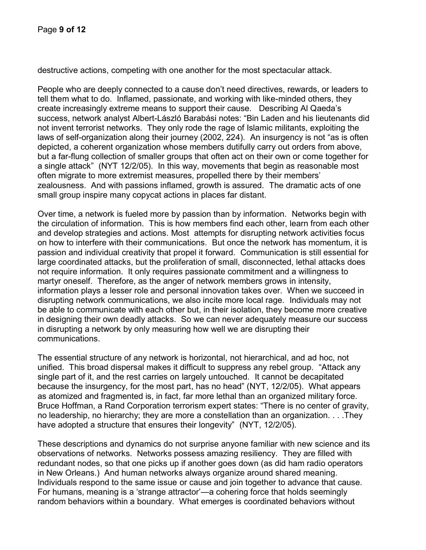destructive actions, competing with one another for the most spectacular attack.

People who are deeply connected to a cause don't need directives, rewards, or leaders to tell them what to do. Inflamed, passionate, and working with like-minded others, they create increasingly extreme means to support their cause. Describing Al Qaeda's success, network analyst Albert-László Barabási notes: "Bin Laden and his lieutenants did not invent terrorist networks. They only rode the rage of Islamic militants, exploiting the laws of self-organization along their journey (2002, 224). An insurgency is not "as is often depicted, a coherent organization whose members dutifully carry out orders from above, but a far-flung collection of smaller groups that often act on their own or come together for a single attack" (NYT 12/2/05). In this way, movements that begin as reasonable most often migrate to more extremist measures, propelled there by their members' zealousness. And with passions inflamed, growth is assured. The dramatic acts of one small group inspire many copycat actions in places far distant.

Over time, a network is fueled more by passion than by information. Networks begin with the circulation of information. This is how members find each other, learn from each other and develop strategies and actions. Most attempts for disrupting network activities focus on how to interfere with their communications. But once the network has momentum, it is passion and individual creativity that propel it forward. Communication is still essential for large coordinated attacks, but the proliferation of small, disconnected, lethal attacks does not require information. It only requires passionate commitment and a willingness to martyr oneself. Therefore, as the anger of network members grows in intensity, information plays a lesser role and personal innovation takes over. When we succeed in disrupting network communications, we also incite more local rage. Individuals may not be able to communicate with each other but, in their isolation, they become more creative in designing their own deadly attacks. So we can never adequately measure our success in disrupting a network by only measuring how well we are disrupting their communications.

The essential structure of any network is horizontal, not hierarchical, and ad hoc, not unified. This broad dispersal makes it difficult to suppress any rebel group. "Attack any single part of it, and the rest carries on largely untouched. It cannot be decapitated because the insurgency, for the most part, has no head" (NYT, 12/2/05). What appears as atomized and fragmented is, in fact, far more lethal than an organized military force. Bruce Hoffman, a Rand Corporation terrorism expert states: "There is no center of gravity, no leadership, no hierarchy; they are more a constellation than an organization. . . .They have adopted a structure that ensures their longevity" (NYT, 12/2/05).

These descriptions and dynamics do not surprise anyone familiar with new science and its observations of networks. Networks possess amazing resiliency. They are filled with redundant nodes, so that one picks up if another goes down (as did ham radio operators in New Orleans.) And human networks always organize around shared meaning. Individuals respond to the same issue or cause and join together to advance that cause. For humans, meaning is a 'strange attractor'—a cohering force that holds seemingly random behaviors within a boundary. What emerges is coordinated behaviors without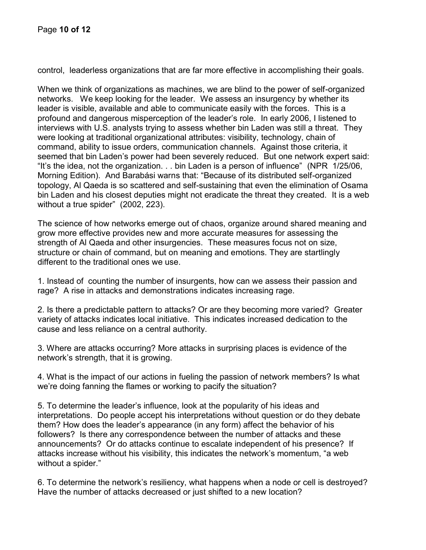control, leaderless organizations that are far more effective in accomplishing their goals.

When we think of organizations as machines, we are blind to the power of self-organized networks. We keep looking for the leader. We assess an insurgency by whether its leader is visible, available and able to communicate easily with the forces. This is a profound and dangerous misperception of the leader's role. In early 2006, I listened to interviews with U.S. analysts trying to assess whether bin Laden was still a threat. They were looking at traditional organizational attributes: visibility, technology, chain of command, ability to issue orders, communication channels. Against those criteria, it seemed that bin Laden's power had been severely reduced. But one network expert said: "It's the idea, not the organization. . . bin Laden is a person of influence" (NPR 1/25/06, Morning Edition). And Barabási warns that: "Because of its distributed self-organized topology, Al Qaeda is so scattered and self-sustaining that even the elimination of Osama bin Laden and his closest deputies might not eradicate the threat they created. It is a web without a true spider" (2002, 223).

The science of how networks emerge out of chaos, organize around shared meaning and grow more effective provides new and more accurate measures for assessing the strength of Al Qaeda and other insurgencies. These measures focus not on size, structure or chain of command, but on meaning and emotions. They are startlingly different to the traditional ones we use.

1. Instead of counting the number of insurgents, how can we assess their passion and rage? A rise in attacks and demonstrations indicates increasing rage.

2. Is there a predictable pattern to attacks? Or are they becoming more varied? Greater variety of attacks indicates local initiative. This indicates increased dedication to the cause and less reliance on a central authority.

3. Where are attacks occurring? More attacks in surprising places is evidence of the network's strength, that it is growing.

4. What is the impact of our actions in fueling the passion of network members? Is what we're doing fanning the flames or working to pacify the situation?

5. To determine the leader's influence, look at the popularity of his ideas and interpretations. Do people accept his interpretations without question or do they debate them? How does the leader's appearance (in any form) affect the behavior of his followers? Is there any correspondence between the number of attacks and these announcements? Or do attacks continue to escalate independent of his presence? If attacks increase without his visibility, this indicates the network's momentum, "a web without a spider."

6. To determine the network's resiliency, what happens when a node or cell is destroyed? Have the number of attacks decreased or just shifted to a new location?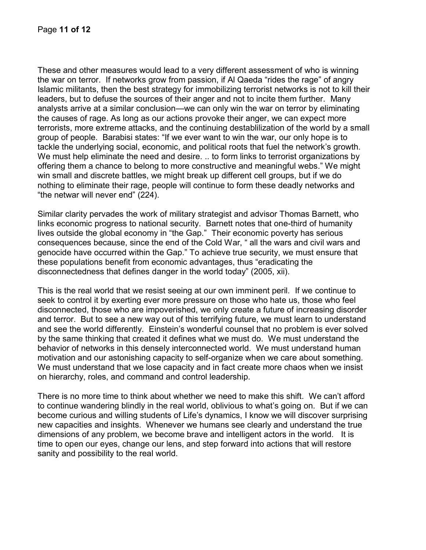These and other measures would lead to a very different assessment of who is winning the war on terror. If networks grow from passion, if Al Qaeda "rides the rage" of angry Islamic militants, then the best strategy for immobilizing terrorist networks is not to kill their leaders, but to defuse the sources of their anger and not to incite them further. Many analysts arrive at a similar conclusion—we can only win the war on terror by eliminating the causes of rage. As long as our actions provoke their anger, we can expect more terrorists, more extreme attacks, and the continuing destablilization of the world by a small group of people. Barabisi states: "If we ever want to win the war, our only hope is to tackle the underlying social, economic, and political roots that fuel the network's growth. We must help eliminate the need and desire. .. to form links to terrorist organizations by offering them a chance to belong to more constructive and meaningful webs." We might win small and discrete battles, we might break up different cell groups, but if we do nothing to eliminate their rage, people will continue to form these deadly networks and "the netwar will never end" (224).

Similar clarity pervades the work of military strategist and advisor Thomas Barnett, who links economic progress to national security. Barnett notes that one-third of humanity lives outside the global economy in "the Gap." Their economic poverty has serious consequences because, since the end of the Cold War, " all the wars and civil wars and genocide have occurred within the Gap." To achieve true security, we must ensure that these populations benefit from economic advantages, thus "eradicating the disconnectedness that defines danger in the world today" (2005, xii).

This is the real world that we resist seeing at our own imminent peril. If we continue to seek to control it by exerting ever more pressure on those who hate us, those who feel disconnected, those who are impoverished, we only create a future of increasing disorder and terror. But to see a new way out of this terrifying future, we must learn to understand and see the world differently. Einstein's wonderful counsel that no problem is ever solved by the same thinking that created it defines what we must do. We must understand the behavior of networks in this densely interconnected world. We must understand human motivation and our astonishing capacity to self-organize when we care about something. We must understand that we lose capacity and in fact create more chaos when we insist on hierarchy, roles, and command and control leadership.

There is no more time to think about whether we need to make this shift. We can't afford to continue wandering blindly in the real world, oblivious to what's going on. But if we can become curious and willing students of Life's dynamics, I know we will discover surprising new capacities and insights. Whenever we humans see clearly and understand the true dimensions of any problem, we become brave and intelligent actors in the world. It is time to open our eyes, change our lens, and step forward into actions that will restore sanity and possibility to the real world.